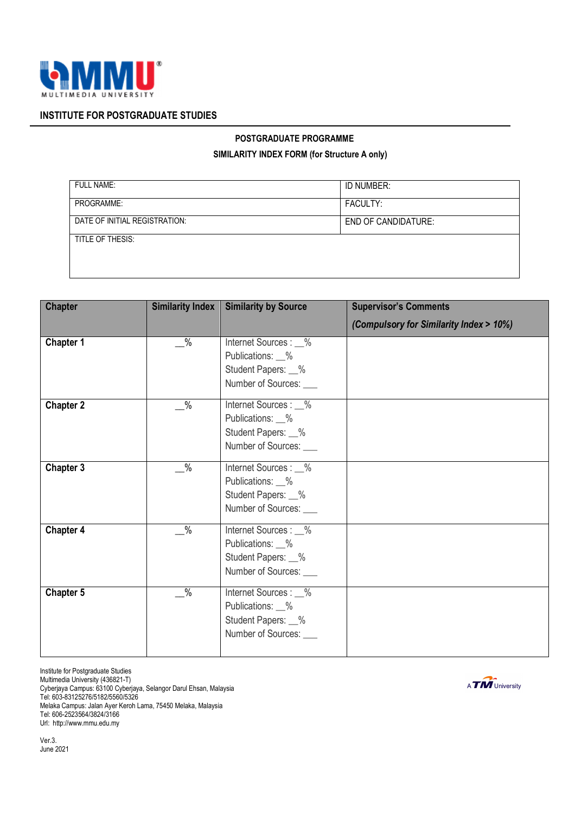

## **INSTITUTE FOR POSTGRADUATE STUDIES**

## **POSTGRADUATE PROGRAMME**

## **SIMILARITY INDEX FORM (for Structure A only)**

| <b>FULL NAME:</b>             | ID NUMBER:                 |
|-------------------------------|----------------------------|
| PROGRAMME:                    | FACULTY:                   |
| DATE OF INITIAL REGISTRATION: | <b>END OF CANDIDATURE:</b> |
| TITLE OF THESIS:              |                            |
|                               |                            |

| <b>Chapter</b>   | <b>Similarity Index</b> | <b>Similarity by Source</b>                                                               | <b>Supervisor's Comments</b>            |
|------------------|-------------------------|-------------------------------------------------------------------------------------------|-----------------------------------------|
|                  |                         |                                                                                           | (Compulsory for Similarity Index > 10%) |
| Chapter 1        | $\frac{9}{6}$           | Internet Sources : 1%<br>Publications: _%<br>Student Papers: 1%                           |                                         |
|                  |                         | Number of Sources:                                                                        |                                         |
| <b>Chapter 2</b> | $\frac{0}{6}$           | Internet Sources : _%<br>Publications: 6<br>Student Papers: 1%<br>Number of Sources:      |                                         |
| Chapter 3        | $\frac{9}{6}$           | Internet Sources : _%<br>Publications: 6<br>Student Papers: 1%<br>Number of Sources:      |                                         |
| Chapter 4        | $\frac{0}{2}$           | Internet Sources : _%<br>Publications: _%<br>Student Papers: 1%<br>Number of Sources:     |                                         |
| Chapter 5        | $\frac{0}{2}$           | Internet Sources : _%<br>Publications: _%<br>Student Papers: 1%<br>Number of Sources: ___ |                                         |

Institute for Postgraduate Studies Multimedia University (436821-T) Cyberjaya Campus: 63100 Cyberjaya, Selangor Darul Ehsan, Malaysia Tel: 603-83125276/5182/5560/5326 Melaka Campus: Jalan Ayer Keroh Lama, 75450 Melaka, Malaysia Tel: 606-2523564/3824/3166 Url: http://www.mmu.edu.my

A **TIM** University

Ver.3. June 2021